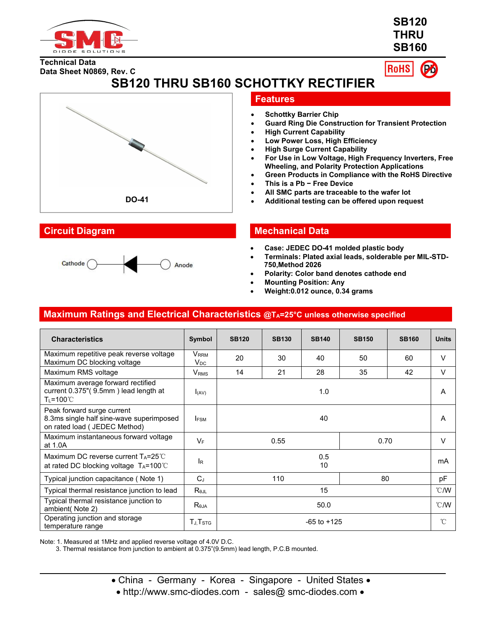

**SB120 THRU SB160**

**Technical Data Data Sheet N0869, Rev. C** **RoHS** 

**SB120 THRU SB160 SCHOTTKY RECTIFIER**





## **Features**

- **Schottky Barrier Chip**
- **Guard Ring Die Construction for Transient Protection**
- **High Current Capability**
- **Low Power Loss, High Efficiency**
- **High Surge Current Capability**
- **For Use in Low Voltage, High Frequency Inverters, Free Wheeling, and Polarity Protection Applications**
- **Green Products in Compliance with the RoHS Directive**
- **This is a Pb − Free Device**
- **All SMC parts are traceable to the wafer lot**
- **DO-41 Additional testing can be offered upon request**

## **Circuit Diagram Mechanical Data**

- **Case: JEDEC DO-41 molded plastic body**
- **Terminals: Plated axial leads, solderable per MIL-STD- 750,Method 2026**
- **Polarity: Color band denotes cathode end**
- **Mounting Position: Any**
- **Weight:0.012 ounce, 0.34 grams**

## **Maximum Ratings and Electrical Characteristics @TA=25°C unless otherwise specified**

| <b>Characteristics</b>                                                                                  | Symbol                       | <b>SB120</b>    | <b>SB130</b> | <b>SB140</b> | <b>SB150</b> | <b>SB160</b>  | <b>Units</b>  |
|---------------------------------------------------------------------------------------------------------|------------------------------|-----------------|--------------|--------------|--------------|---------------|---------------|
| Maximum repetitive peak reverse voltage<br>Maximum DC blocking voltage                                  | V <sub>RRM</sub><br>$V_{DC}$ | 20              | 30           | 40           | 50           | 60            | $\vee$        |
| Maximum RMS voltage                                                                                     | $\mathsf{V}_{\mathsf{RMS}}$  | 14              | 21           | 28           | 35           | 42            | $\vee$        |
| Maximum average forward rectified<br>current 0.375"(9.5mm) lead length at<br>T∟=100℃                    | $I_{(AV)}$                   | 1.0             |              |              | A            |               |               |
| Peak forward surge current<br>8.3ms single half sine-wave superimposed<br>on rated load ( JEDEC Method) | <b>IFSM</b>                  | 40              |              |              | A            |               |               |
| Maximum instantaneous forward voltage<br>at 1.0A                                                        | $V_F$                        | 0.55<br>0.70    |              |              |              | $\vee$        |               |
| Maximum DC reverse current $T_A = 25^{\circ}$ C<br>at rated DC blocking voltage TA=100℃                 | l <sub>R</sub>               | 0.5<br>10       |              |              |              | mA            |               |
| Typical junction capacitance (Note 1)                                                                   | $C_{\perp}$                  | 80<br>110       |              |              |              | pF            |               |
| Typical thermal resistance junction to lead                                                             | $R_{\theta JL}$              | 15              |              |              |              | $\degree$ C/W |               |
| Typical thermal resistance junction to<br>ambient(Note 2)                                               | $R_{\theta$ JA               | 50.0            |              |              |              |               | $\degree$ C/W |
| Operating junction and storage<br>temperature range                                                     | $T_{J}$ , $T_{STG}$          | $-65$ to $+125$ |              |              |              |               | $^{\circ}$ C  |

Note: 1. Measured at 1MHz and applied reverse voltage of 4.0V D.C.

3. Thermal resistance from junction to ambient at 0.375"(9.5mm) lead length, P.C.B mounted.

- China Germany Korea Singapore United States •
- http://www.smc-diodes.com sales@ smc-diodes.com •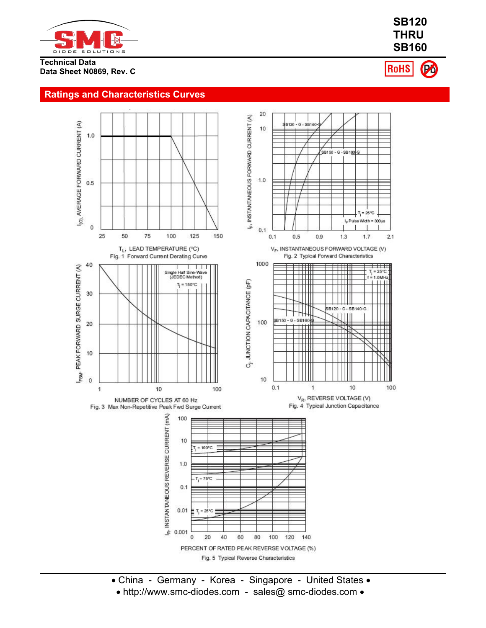

### **Technical Data Data Sheet N0869, Rev. C**



Po **RoHS** 

# **Ratings and Characteristics Curves**



- China Germany Korea Singapore United States
	- http://www.smc-diodes.com sales@ smc-diodes.com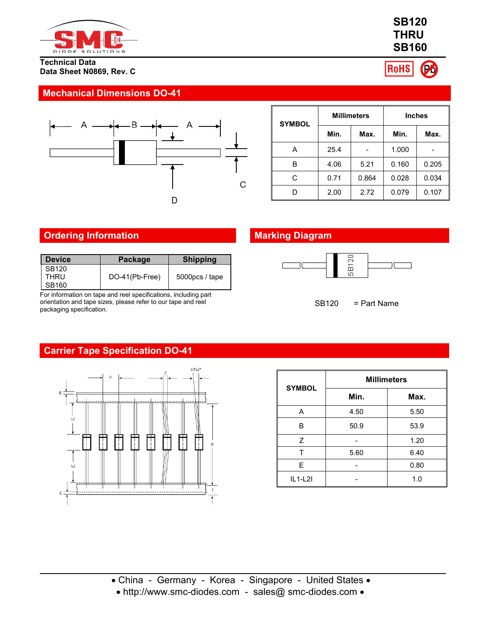

### **Technical Data Data Sheet N0869, Rev. C**

# **Mechanical Dimensions DO-41**



| <b>SYMBOL</b> |      | <b>Millimeters</b> | <b>Inches</b> |       |  |
|---------------|------|--------------------|---------------|-------|--|
|               | Min. | Max.               | Min.          | Max.  |  |
| A             | 25.4 |                    | 1.000         |       |  |
| в             | 4.06 | 5.21               | 0.160         | 0.205 |  |
| С             | 0.71 | 0.864              | 0.028         | 0.034 |  |
| D             | 2.00 | 2.72               | 0.079         | 0.107 |  |

# **Ordering Information Marking Diagram**

| l Device | Package        | <b>Shipping</b>   |
|----------|----------------|-------------------|
| SB120    |                |                   |
| THRU     | DO-41(Pb-Free) | $5000$ pcs / tape |
| ` SB160  |                |                   |

For information on tape and reel specifications, including part orientation and tape sizes, please refer to our tape and reel packaging specification.



SB120 = Part Name

# **Carrier Tape Specification DO-41**



| <b>SYMBOL</b> | <b>Millimeters</b> |      |  |  |  |  |
|---------------|--------------------|------|--|--|--|--|
|               | Min.               | Max. |  |  |  |  |
| A             | 4.50               | 5.50 |  |  |  |  |
| В             | 50.9               | 53.9 |  |  |  |  |
| 7             |                    | 1.20 |  |  |  |  |
|               | 5.60               | 6.40 |  |  |  |  |
| F             |                    | 0.80 |  |  |  |  |
| $IL1-L2I$     |                    | 1.0  |  |  |  |  |

China - Germany - Korea - Singapore - United States

• http://www.smc-diodes.com - sales@ smc-diodes.com •